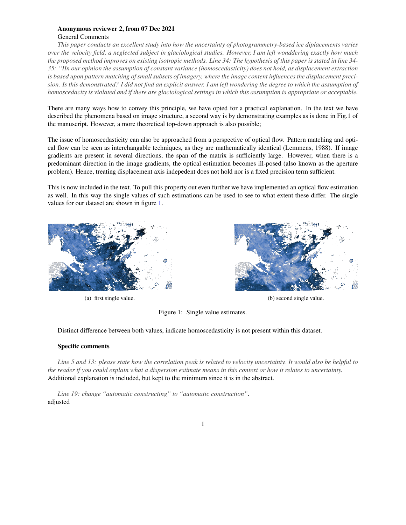## Anonymous reviewer 2, from 07 Dec 2021 General Comments

*This paper conducts an excellent study into how the uncertainty of photogrammetry-based ice diplacements varies over the velocity field, a neglected subject in glaciological studies. However, I am left wonddering exactly how much the proposed method improves on existing isotropic methods. Line 34: The hypothesis of this paper is stated in line 34- 35: "IIn our opinion the assumption of constant variance (homoscedasticity) does not hold, as displacement extraction is based upon pattern matching of small subsets of imagery, where the image content influences the displacement precision. Is this demonstrated? I did not find an explicit answer. I am left wondering the degree to which the assumption of homoscedacity is violated and if there are glaciological settings in which this assumption is appropriate or acceptable.*

There are many ways how to convey this principle, we have opted for a practical explanation. In the text we have described the phenomena based on image structure, a second way is by demonstrating examples as is done in Fig.1 of the manuscript. However, a more theoretical top-down approach is also possible;

The issue of homoscedasticity can also be approached from a perspective of optical flow. Pattern matching and optical flow can be seen as interchangable techniques, as they are mathematically identical (Lemmens, 1988). If image gradients are present in several directions, the span of the matrix is sufficiently large. However, when there is a predominant direction in the image gradients, the optical estimation becomes ill-posed (also known as the aperture problem). Hence, treating displacement axis indepedent does not hold nor is a fixed precision term sufficient.

This is now included in the text. To pull this property out even further we have implemented an optical flow estimation as well. In this way the single values of such estimations can be used to see to what extent these differ. The single values for our dataset are shown in figure [1.](#page-0-0)

<span id="page-0-0"></span>

(a) first single value. (b) second single value.



Figure 1: Single value estimates.

Distinct difference between both values, indicate homoscedasticity is not present within this dataset.

## Specific comments

*Line 5 and 13: please state how the correlation peak is related to velocity uncertainty. It would also be helpful to the reader if you could explain what a dispersion estimate means in this context or how it relates to uncertainty.* Additional explanation is included, but kept to the minimum since it is in the abstract.

*Line 19: change "automatic constructing" to "automatic construction"*. adjusted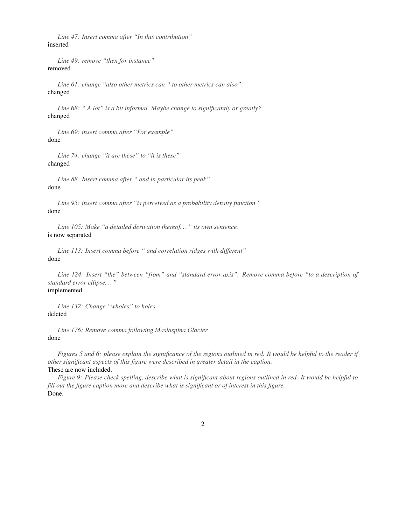*Line 47: Insert comma after "In this contribution"* inserted

*Line 49: remove "then for instance"* removed

*Line 61: change "also other metrics can " to other metrics can also"* changed

*Line 68: " A lot" is a bit informal. Maybe change to significantly or greatly?* changed

*Line 69: insert comma after "For example".* done

*Line 74: change "it are these" to "it is these"* changed

*Line 88: Insert comma after " and in particular its peak"* done

*Line 95: insert comma after "is perceived as a probability density function"* done

*Line 105: Make "a detailed derivation thereof. . . " its own sentence.* is now separated

*Line 113: Insert comma before " and correlation ridges with different"* done

*Line 124: Insert "the" between "from" and "standard error axis". Remove comma before "to a description of standard error ellipse. . . "*

## implemented

*Line 132: Change "wholes" to holes* deleted

*Line 176: Remove comma following Maslaspina Glacier* done

*Figures 5 and 6: please explain the significance of the regions outlined in red. It would be helpful to the reader if other significant aspects of this figure were described in greater detail in the caption.* These are now included.

*Figure 9: Please check spelling, describe what is significant about regions outlined in red. It would be helpful to fill out the figure caption more and describe what is significant or of interest in this figure.* Done.